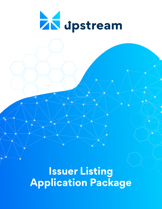

**Issuer Listing Application Package**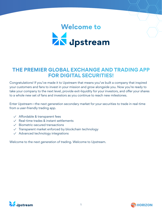# Welcome to<br> **AN** dpstream

# **THE PREMIER GLOBAL EXCHANGE AND TRADING APP FOR DIGITAL SECURITIES!**

Congratulations! If you've made it to Upstream that means you've built a company that inspired your customers and fans to invest in your mission and grow alongside you. Now you're ready to take your company to the next level, provide exit-liquidity for your investors, and offer your shares to a whole new set of fans and investors as you continue to reach new milestones.

Enter Upstream—the next generation secondary market for your securities to trade in real-time from a user-friendly trading app.

- $\checkmark$  Affordable & transparent fees
- ✓ Real-time trades & instant settlements
- ✓ Biometric-secured transactions
- ✓ Transparent market enforced by blockchain technology
- $\vee$  Advanced technology integrations

Welcome to the next generation of trading. Welcome to Upstream.



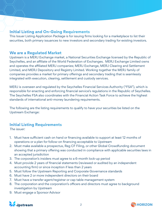# **Initial Listing and On-Going Requirements**

This Issuer Listing Application Package is for issuing firms looking for a marketplace to list their securities, both primary issuances to new investors and secondary trading for existing investors.

## **We are a Regulated Market**

Upstream is a MERJ Exchange market, a National Securities Exchange licensed by the Republic of Seychelles, and an affiliate of the World Federation of Exchanges. MERJ Exchange Limited owns and operates the affiliated MERJ companies; MERJ Exchange, MERJ Clearing and Settlement Limited, and MERJ Depository and Registry Limited. Working together the MERJ family of companies provides a market for primary offerings and secondary trading that is seamlessly integrated with execution, clearing, settlement and custody services.

MERJ is overseen and regulated by the Seychelles Financial Services Authority ("FSA"), which is responsible for enacting and enforcing financial service's regulations in the Republic of Seychelles. The Seychelles FSA also coordinates with the Financial Action Task Force to achieve the highest standards of international anti-money laundering requirements.

The following are the listing requirements to qualify to have your securities be listed on the Upstream Exchange:

# **Initial Listing Requirements**

The issuer:

- 1. Must have sufficient cash on hand or financing available to support at least 12 months of operations or a plan for follow-on financing acceptable to Upstream
- 2. Must make available a prospectus, Reg CF Filing, or other Global Crowdfunding document showing that a primary offering was conducted in compliance with applicable securities laws in an accepted jurisdiction
- 3. The corporation's insiders must agree to a 6-month lock-up period
- 4. Must provide 2 years of financial statements (reviewed or audited by an independent accounting firm) or since inception if less than 2 years
- 5. Must follow the Upstream Reporting and Corporate Governance standards
- 6. Must have 2 or more independent directors on their board
- 7. Must have a transfer agent/registrar or cap table management system
- 8. The corporation and the corporation's officers and directors must agree to background investigation by Upstream
- 9. Must engage a Sponsor Advisor



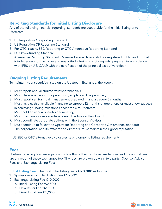# **Reporting Standards for Initial Listing Disclosure**

Any of the following financial reporting standards are acceptable for the initial listing onto Upstream:

- 1. US Regulation A Reporting Standard
- 2. US Regulation CF Reporting Standard
- 3. For OTC issuers, SEC Reporting or OTC Alternative Reporting Standard
- 4. EU Crowdfunding Standard
- 5. Alternative Reporting Standard: Reviewed annual financials by a registered public auditor that is independent of the issuer and unaudited interim financial reports, prepared in accordance with IFRS or U.S. GAAP with the certification of the principal executive officer

# **Ongoing Listing Requirements**

To maintain your securities listed on the Upstream Exchange, the issuer:

- 1. Must report annual auditor reviewed financials
- 2. Must file annual report of operations (template will be provided)
- 3. Must report semi-annual management prepared financials every 6 months
- 4. Must have cash or available financing to support 12 months of operations or must show success in achieving funding milestones acceptable to Upstream
- 5. Must hold an annual shareholder meeting
- 6. Must maintain 2 or more independent directors on their board
- 7. Must coordinate corporate actions with the Sponsor Advisor
- 8. Must continue to follow the Upstream Reporting and Corporate Governance standards
- 9. The corporation, and its officers and directors, must maintain their good reputation

\*\*US SEC or OTC alternative disclosures satisfy ongoing listing requirements

#### **Fees**

Upstream's listing fees are significantly less than other traditional exchanges and the annual fees are a fraction of those exchanges too! The fees are broken down in two parts: Sponsor Advisor Fees and Exchange Listing Fees.

**Initial Listing Fees:** The total initial listing fee is **€20,000** as follows :

- 1. Sponsor Advisor Initial Listing Fee €10,000
- 2. Exchange Listing Fee €10,000
	- a. Initial Listing Fee €2,500
	- b. New Issuer Fee €2,500
	- c. Fixed Initial Fee €5,000



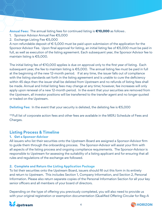**Annual Fees:** The annual listing fees for continued listing is **€10,000** as follows .

- 1. Sponsor Advisor Annual Fee €5,000
- 2. Exchange Listing Fee €5,000

A non-refundable deposit of  $\epsilon$  5,000 must be paid upon submission of the application for the Sponsor Advisor Fee. Upon final approval for listing, an initial listing fee of €5,000 must be paid in full, as well as execution of the listing agreement. Each subsequent year, the Sponsor Advisor fee to maintain listing is €5,000.

The initial listing fee of €10,000 applies is due on approval only to the first year of listing. Each subsequent year, the fee to maintain listing is €5,000. The annual listing fee must be paid in full at the beginning of the new 12-month period. If at any time, the issuer falls out of compliance with the listing standards set forth in the listing agreement and is unable to cure the deficiency within 45 days then the issuer shall be delisted from Upstream and no refunds of listing fees shall be made. Annual and Initial listing fees may change at any time; however, fee increases will only apply upon renewal of a new 12-month period. In the event that your securities are removed from the Upstream, all investor positions will be transferred to the transfer agent and no longer quoted or traded on the Upstream.

**Delisting Fee:** In the event that your security is delisted, the delisting fee is €5,000

\*\*Full list of corporate action fees and other fees are available in the MERJ Schedule of Fees and Charges.

# **Listing Process & Timeline**

#### **1. Get a Sponsor-Advisor**

All issuers who list their securities onto the Upstream Board are assigned a Sponsor-Advisor firm to guide them through the onboarding process. The Sponsor-Advisor will assist your firm with all aspects of the listing process and ongoing compliance requirements. The Sponsor-Advisor is responsible to Upstream for assessing the suitability of a listing applicant and for ensuring that all rules and regulations of the exchange are followed.

#### **2. Complete and Return the Listing Application Package**

To list their securities onto the Upstream Board, issuers should fill out this form in its entirety and return to Upstream. This includes Section 1, Company Information, and Section 2, Personal Information. Please also return separate copies of the Personal Information Section for all your key senior officers and all members of your board of directors.

Depending on the type of offering you previously completed, you will also need to provide us with your original registration or exemption documentation (Qualified Offering Circular for Reg-A



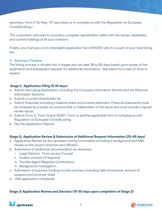securities, Form C for Reg- CF securities, or in compliance with the Regulation on European Crowdfunding.)

The corporation will need to provide a complete capitalization table with the names, addresses, and current holdings of all your investors.

Finally, you must pay a non-refundable application fee of €5000 which is a part of your total listing fee.

#### **3. Summary Timeline**

The listing process is divided into 4 stages and can take 36 to 65 days based upon review of the application and subsequent requests for additional information. See below for a view of what to expect:

#### **Stage 1: Application Filing (5-10 days)**

- a. Submit the Listing Application, including the Company Information Section and the Personal Information Sections
- b. Submit a current shareholder list
- c. Submit financials including a balance sheet and income statement. Financial statements must be reviewed by a public accountant that is independent of the issuer and must include a signed review report
- d. Submit Form C, Form 1a and 253G1 1 form or another applicable form in compliance with Regulation on European Crowdfunding
- e. Pay the Application Deposit

#### **Stage 2: Application Review & Submission of Additional Request Information (20-45 days)**

- a. Application Review by the Upstream Listing Committee (including a background and AML review on the issuer's directors and officers)
- b. Submission of additional documentation as necessary
	- i. Legal Opinion: From Issuers Counsel
	- ii. Auditor consent (if required)
	- iii. Transfer Agent/Registrar Confirmation
	- iv. Background investigation
- c. Submission of previous funding rounds summary including date of issuance, amount of issuance and price per share
- d. ISIN application completed

#### **Stage 3: Application Review and Decision (15-30 days upon completion of Stage 2)**



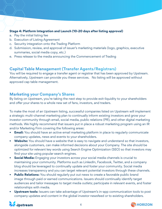#### **Stage 4: Platform Integration and Launch (10-20 days after listing approval)**

- a. Pay the initial listing fee
- b. Execution of Listing Agreement
- c. Security integration onto the Trading Platform
- d. Submission, review, and approval of issuer's marketing materials (logo, graphics, executive summaries, social media copy, etc.)
- e. Press release to the media announcing the Commencement of Trading

# **Capital Table Management (Transfer Agents/Registrars)**

You will be required to engage a transfer agent or registrar that has been approved by Upstream. Alternatively, Upstream can provide you these services. No listing will be approved without approved cap table management.

# **Marketing your Company's Shares**

By listing on Upstream, you're taking the next step to provide exit-liquidity to your shareholders and offer your shares to a whole new set of fans, investors, and traders.

To make the most of an Upstream listing, successful companies listed on Upstream will implement a strategic multi-channel marketing plan to continually inform existing investors and grow your investor community through email, social media, public relations (PR), and other digital marketing methods. We highly recommend that issuers put in place a robust marketing program using an IR and/or Marketing Firm covering the following areas:

- **• Email:** You should have an active email marketing platform in place to regularly communicate company updates, news and events to your shareholders.
- **• Website:** You should have a website that is easy to navigate and understand so that investors, alongside customers, can make informed decisions about your Company. The site should be optimized for relevant key words using Search Engine Optimization (SEO) so that investors may find your site using popular search engines.
- **• Social Media:** Engaging your investors across your social media channels is crucial to maintaining your community. Platforms such as LinkedIn, Facebook, Twitter, and a company blog should be leveraged to continually update and foster your community. Social media increases transparency and you can target relevant potential investors through these channels.
- **• Public Relations:** You should regularly put out news to create a favorable public brand image through paid or earned communications. Issuers should continually identify target audiences and tailor messages to target media outlets; participate in relevant events, and foster relationships with media.
- **• Upstream tools:** Issuers can take advantage of Upstream's in-app communication tools to post company updates and content in the global investor newsfeed or to existing shareholders.



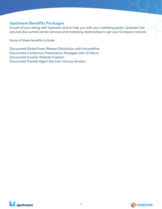## **Upstream Benefits Packages**

As part of your listing with Upstream and to help you with your marketing goals, Upstream has secured discounted vendor services and marketing relationships to get your Company noticed.

Some of these benefits include:

Discounted Global Press Release Distribution with AccessWire Discounted Conference Presentation Packages with LD Micro Discounted Investor Website Creation Discounted Transfer Agent Services: Various Vendors



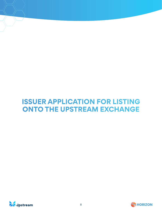# **ISSUER APPLICATION FOR LISTING ONTO THE UPSTREAM EXCHANGE**



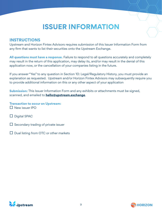# **ISSUER INFORMATION**

## **INSTRUCTIONS**

Upstream and Horizon Fintex Advisors requires submission of this Issuer Information Form from any firm that wants to list their securities onto the Upstream Exchange.

**All questions must have a response.** Failure to respond to all questions accurately and completely may result in the return of this application, may delay its, and/or may result in the denial of this application now, or the cancellation of your companies listing in the future.

If you answer "Yes" to any question in Section 10: Legal/Regulatory History, you must provide an explanation as requested. Upstream and/or Horizon Fintex Advisors may subsequently require you to provide additional information on this or any other aspect of your application

**Submission:** This Issuer Information Form and any exhibits or attachments must be signed, scanned, and emailed to **hello@upstream.exchange**.

**Transaction to occur on Upstream:**  □ New issuer IPO

- $\Box$  Digital SPAC
- $\Box$  Secondary trading of private issuer
- $\Box$  Dual listing from OTC or other markets



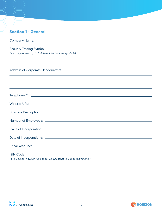| <b>Section 1 - General</b>                                                                                                                                                                                                    |
|-------------------------------------------------------------------------------------------------------------------------------------------------------------------------------------------------------------------------------|
|                                                                                                                                                                                                                               |
| <b>Security Trading Symbol</b><br>(You may request up to 3 different 4-character symbols)                                                                                                                                     |
| <b>Address of Corporate Headquarters</b><br><u> 1989 - Johann Stoff, amerikansk politiker (d. 1989)</u>                                                                                                                       |
| ,我们也不会有什么?""我们的人,我们也不会有什么?""我们的人,我们也不会有什么?""我们的人,我们也不会有什么?""我们的人,我们也不会有什么?""我们的人<br>,我们也不会有什么。""我们的人,我们也不会有什么?""我们的人,我们也不会有什么?""我们的人,我们也不会有什么?""我们的人,我们也不会有什么?""我们的人                                                          |
|                                                                                                                                                                                                                               |
|                                                                                                                                                                                                                               |
|                                                                                                                                                                                                                               |
|                                                                                                                                                                                                                               |
|                                                                                                                                                                                                                               |
|                                                                                                                                                                                                                               |
|                                                                                                                                                                                                                               |
| Fiscal Year End: The Contract of the Contract of the Contract of the Contract of the Contract of the Contract of the Contract of the Contract of the Contract of the Contract of the Contract of the Contract of the Contract |
|                                                                                                                                                                                                                               |
| (if you do not have an ISIN code, we will assist you in obtaining one.)                                                                                                                                                       |



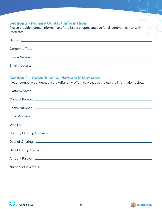# **Section 2 - Primary Contact Information**

Please provide contact information of the issuer's representative for all communication with Upstream.

# **Section 3 – Crowdfunding Platform Information**

If your company conducted a crowdfunding offering, please complete the information below.



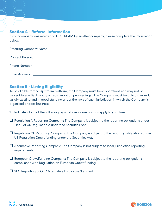# **Section 4 - Referral Information**

If your company was referred to UPSTREAM by another company, please complete the information below.

# **Section 5 - Listing Eligibility**

To be eligible for the Upstream platform, the Company must have operations and may not be subject to any Bankruptcy or reorganization proceedings. The Company must be duly organized, validly existing and in good standing under the laws of each jurisdiction in which the Company is organized or does business.

- 1. Indicate which of the following registrations or exemptions apply to your firm:
- $\Box$  Regulation A Reporting Company: The Company is subject to the reporting obligations under Tier 2 of US Regulation A under the Securities Act.
- $\Box$  Regulation CF Reporting Company: The Company is subject to the reporting obligations under US Regulation Crowdfunding under the Securities Act.
- $\Box$  Alternative Reporting Company: The Company is not subject to local jurisdiction reporting requirements.
- $\Box$  European Crowdfunding Company: The Company is subject to the reporting obligations in compliance with Regulation on European Crowdfunding.
- $\square$  SEC Reporting or OTC Alternative Disclosure Standard



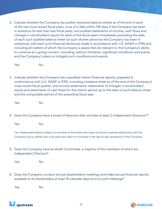2. Indicate whether the Company has auditor reviewed balance sheets as of the end of each of the two most recent fiscal years, or as of a date within 135 days if the Company has been in existence for less than two fiscal years, and audited statements of income, cash flows and changes in stockholders' equity for each of the fiscal years immediately preceding the date of each such audited balance sheet (or such shorter period as the Company has been in existence), with each such financial disclosure made in accordance with U.S. GAAP or IFRS and including all matters of which the Company is aware that are relevant to the Company's ability to continue as a going concern, including, without limitation, significant conditions and events and the Company's plans to mitigate such conditions and events.

Yes. No.

3. Indicate whether the Company has unaudited interim financial reports, prepared in conformance with U.S. GAAP or IFRS, including a balance sheet as of the end of the Company's most recent fiscal quarter, and income statements, statements of changes in stockholders' equity and statements of cash flows for the interim period up to the date of such balance sheet and the comparable period of the preceding fiscal year.

Yes. No.

4. Does the Company have a board of directors that includes at least 2 Independent Directors\*?

Yes. No.

\*an independent director refers to a member of the board who does not have a material relationship with the Company and is neither part of its executive team nor involved in the day-to-day operations of the Company.

5. Does the Company have an Audit Committee, a majority of the members of which are Independent Directors?

Yes. No.

6. Does the Company conduct annual shareholders' meetings and make annual financial reports available to its shareholders at least 15 calendar days prior to such meetings?

Yes. No.



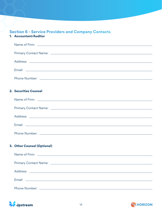# **Section 6 - Service Providers and Company Contacts**

## **1. Accountant/Auditor**

| 2. Securities Counsel       |
|-----------------------------|
|                             |
|                             |
|                             |
|                             |
|                             |
|                             |
| 3. Other Counsel (Optional) |
|                             |
|                             |
|                             |
|                             |
|                             |
|                             |



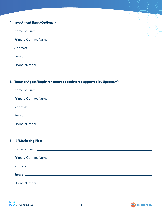#### **4. Investment Bank (Optional)**

#### **5. Transfer Agent/Registrar (must be registered approved by Upstream)**

#### **6. IR/Marketing Firm**



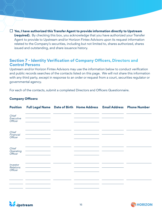□ **Yes, I have authorized this Transfer Agent to provide information directly to Upstream (required).** By checking this box, you acknowledge that you have authorized your Transfer Agent to provide to Upstream and/or Horizon Fintex Advisors upon its request information related to the Company's securities, including but not limited to, shares authorized, shares issued and outstanding, and share issuance history.

## **Section 7 - Identity Verification of Company Officers, Directors and Control Persons**

Upstream and/or Horizon Fintex Advisors may use the information below to conduct verification and public records searches of the contacts listed on this page. We will not share this information with any third party, except in response to an order or request from a court, securities regulator or governmental agency.

For each of the contacts, submit a completed Directors and Officers Questionnaire.

#### **Company Officers:**

| <b>Position</b>                         | Full Legal Name Date of Birth Home Address Email Address |  | <b>Phone Number</b> |
|-----------------------------------------|----------------------------------------------------------|--|---------------------|
| Chief<br>Executive<br>Officer           |                                                          |  |                     |
| Chief<br>Financial<br>Officer           |                                                          |  |                     |
| Chief<br>Operating<br>Officer           |                                                          |  |                     |
| Investor<br><b>Relations</b><br>Officer |                                                          |  |                     |
|                                         |                                                          |  |                     |



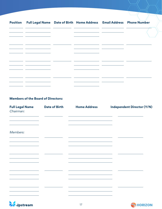| Position Full Legal Name Date of Birth Home Address Email Address Phone Number                                                          |                                                    |                                                      |  |
|-----------------------------------------------------------------------------------------------------------------------------------------|----------------------------------------------------|------------------------------------------------------|--|
| <u> 1989 - Johann John Stone, mars et al. (</u>                                                                                         |                                                    |                                                      |  |
| <u> 1989 - Johann John Stone, mars eta biztanleria (</u>                                                                                | <u> 1989 - Johann Barn, amerikansk politiker (</u> |                                                      |  |
| <u> 1989 - Johann John Stone, markin film yn y brenin y brenin y brenin y brenin y brenin y brenin y brenin y br</u>                    |                                                    | <u> 1989 - Johann John Stone, mars eta inperiodo</u> |  |
| <u> 1989 - John Stone, Amerikaansk politiker (* 1908)</u>                                                                               |                                                    |                                                      |  |
|                                                                                                                                         |                                                    |                                                      |  |
| <u> 1989 - Johann John Stone, mars eta biztanleria (h. 1989).</u><br><u> 1989 - Johann Barbara, martxa amerikan personal (h. 1989).</u> |                                                    |                                                      |  |
|                                                                                                                                         |                                                    |                                                      |  |
|                                                                                                                                         |                                                    |                                                      |  |

## **Members of the Board of Directors:**

| <b>Full Legal Name</b><br>Chairman: | <b>Date of Birth</b> | <b>Home Address</b>                                                        | <b>Independent Director (Y/N)</b> |
|-------------------------------------|----------------------|----------------------------------------------------------------------------|-----------------------------------|
| Members:                            |                      |                                                                            |                                   |
|                                     |                      |                                                                            |                                   |
|                                     |                      | the control of the control of the control of the control of the control of |                                   |
|                                     |                      |                                                                            |                                   |
|                                     |                      |                                                                            |                                   |
|                                     |                      |                                                                            |                                   |



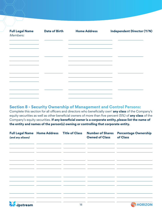| <b>Full Legal Name</b><br>Members: | <b>Date of Birth</b> | <b>Home Address</b>                                                                       | <b>Independent Director (Y/N)</b> |
|------------------------------------|----------------------|-------------------------------------------------------------------------------------------|-----------------------------------|
|                                    |                      | the control of the control of the control of the control of the control of                |                                   |
|                                    |                      |                                                                                           |                                   |
|                                    |                      |                                                                                           |                                   |
|                                    |                      | the control of the control of the control of the control of the control of the control of |                                   |
|                                    |                      |                                                                                           |                                   |
|                                    |                      |                                                                                           |                                   |

### **Section 8 - Security Ownership of Management and Control Persons:**

Complete this section for all officers and directors who beneficially own<sup>1</sup> any class of the Company's equity securities as well as other beneficial owners of more than five percent (5%) of **any class** of the Company's equity securities. **If any beneficial owner is a corporate entity, please list the name of the entity and names of the person(s) owning or controlling that corporate entity.**

| <b>Full Legal Name Home Address Title of Class</b><br>(and any aliases) |    | <b>Number of Shares</b><br><b>Owned of Class</b> | <b>Percentage Ownership</b><br>of Class |
|-------------------------------------------------------------------------|----|--------------------------------------------------|-----------------------------------------|
|                                                                         |    |                                                  |                                         |
|                                                                         |    |                                                  |                                         |
|                                                                         |    |                                                  |                                         |
|                                                                         |    |                                                  |                                         |
|                                                                         |    |                                                  |                                         |
| <b>ZN</b> dpstream                                                      | 18 |                                                  | <b>SHORIZON</b>                         |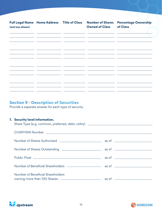**Number of Shares** Percentage Ownership **Full Legal Name Home Address Title of Class Number of Shares Owned of Classof Class (and any aliases)**   $\mathbb{R}^2$  $\mathbf{r}$  $\sim$  $\overline{a}$  $\overline{a}$  $\mathbb{Z}^{\mathbb{Z}}$  and  $\overline{\phantom{a}}$  $\overline{a}$ 

# **Section 9 - Description of Securities**

Provide a separate answer for each type of security.

#### **1. Security level information.**

|                                   | Share Type (e.g. common, preferred, debt, utility) ______________________________ |  |  |  |  |
|-----------------------------------|-----------------------------------------------------------------------------------|--|--|--|--|
|                                   |                                                                                   |  |  |  |  |
|                                   |                                                                                   |  |  |  |  |
|                                   |                                                                                   |  |  |  |  |
|                                   |                                                                                   |  |  |  |  |
|                                   |                                                                                   |  |  |  |  |
| Number of Beneficial Shareholders |                                                                                   |  |  |  |  |



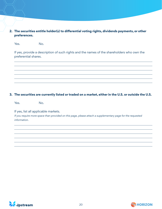#### **2. The securities entitle holder(s) to differential voting rights, dividends payments, or other preferences.**

Yes. No.

If yes, provide a description of such rights and the names of the shareholders who own the preferential shares.

#### **3. The securities are currently listed or traded on a market, either in the U.S. or outside the U.S.**

Yes. No.

If yes, list all applicable markets.

If you require more space than provided on this page, please attach a supplementary page for the requested information.



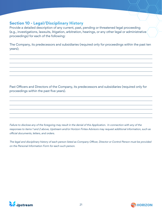# **Section 10 - Legal/Disciplinary History**

Provide a detailed description of any current, past, pending or threatened legal proceeding (e.g., investigations, lawsuits, litigation, arbitration, hearings, or any other legal or administrative proceedings) for each of the following:

The Company, its predecessors and subsidiaries (required only for proceedings within the past ten years);

Past Officers and Directors of the Company, its predecessors and subsidiaries (required only for proceedings within the past five years).

Failure to disclose any of the foregoing may result in the denial of this Application. In connection with any of the responses to items 1 and 2 above, Upstream and/or Horizon Fintex Advisors may request additional information, such as official documents, letters, and orders.

The legal and disciplinary history of each person listed as Company Officer, Director or Control Person must be provided on the Personal Information Form for each such person.



 $\overline{a}$ 

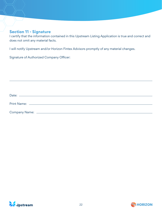## **Section 11 - Signature**

I certify that the information contained in this Upstream Listing Application is true and correct and does not omit any material facts.

I will notify Upstream and/or Horizon Fintex Advisors promptly of any material changes.

Signature of Authorized Company Officer:

| Date:         |  |  |  |
|---------------|--|--|--|
|               |  |  |  |
| Company Name: |  |  |  |



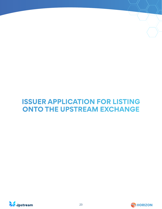# **ISSUER APPLICATION FOR LISTING ONTO THE UPSTREAM EXCHANGE**



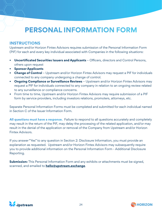# **PERSONAL INFORMATION FORM**

# **INSTRUCTIONS**

Upstream and/or Horizon Fintex Advisors requires submission of the Personal Information Form (PIF) for each and every key individual associated with Companies in the following situations:

- **• Uncertificated Securities Issuers and Applicants**  Officers, directors and Control Persons, others upon request
- **• Sponsor Applicants**
- **• Change of Control** Upstream and/or Horizon Fintex Advisors may request a PIF for individuals connected to any company undergoing a change of control.
- **Ongoing Compliance or Surveillance Reviews** Upstream and/or Horizon Fintex Advisors may request a PIF for individuals connected to any company in relation to an ongoing review related to any surveillance or compliance concerns.
- From time to time, Upstream and/or Horizon Fintex Advisors may require submission of a PIF form by service providers, including investors relations, promoters, attorneys, etc.

Separate Personal Information Forms must be completed and submitted for each individual named in Section C of the Issuer Information Form.

**All questions must have a response.** Failure to respond to all questions accurately and completely may result in the return of the PIF, may delay the processing of the related application, and/or may result in the denial of the application or removal of the Company from Upstream and/or Horizon Fintex Advisors.

If you answer "Yes" to any question in Section 2: Disclosure Information, you must provide an explanation as requested. Upstream and/or Horizon Fintex Advisors may subsequently require you to provide additional information on the Personal Information Form - Additional Disclosure Reporting.

**Submission:** This Personal Information Form and any exhibits or attachments must be signed, scanned, and emailed to **hello@upstream.exchange**.



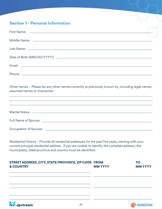# **Section 1 - Personal Information**

*A* dpstream

| Other names - Please list any other names currently or previously known by, including legal names,<br>assumed names or nicknames:<br>,我们也不能在这里的时候,我们也不能在这里的时候,我们也不能会不能会不能会不能会不能会不能会不能会不能会不能会不能会。<br>第2012章 我们的时候,我们的时候,我们的时候,我们的时候,我们的时候,我们的时候,我们的时候,我们的时候,我们的时候,我们的时候,我们的时候,我们的时候,我 |                |                             |
|--------------------------------------------------------------------------------------------------------------------------------------------------------------------------------------------------------------------------------------------------------------------------------------|----------------|-----------------------------|
| ,我们也不能会在这里,我们的人们就会在这里,我们的人们就会不会在这里,我们的人们就会不会在这里,我们的人们就会不会在这里,我们的人们就会不会在这里,我们的人们就<br>,我们也不能在这里的时候,我们也不能在这里的时候,我们也不能会在这里的时候,我们也不能会在这里的时候,我们也不能会在这里的时候,我们也不能会在这里的时候,我们也不                                                                                                                |                |                             |
|                                                                                                                                                                                                                                                                                      |                |                             |
|                                                                                                                                                                                                                                                                                      |                |                             |
| Residential History - Provide all residential addresses for the past five years, starting with your<br>current principal residential address. If you are unable to identify the complete address, the<br>municipality, state/province and country must be identified.                |                |                             |
| STREET ADDRESS, CITY, STATE/PROVINCE, ZIP CODE FROM<br><b>&amp; COUNTRY</b>                                                                                                                                                                                                          | <b>MM YYYY</b> | <b>TO</b><br><b>MM YYYY</b> |
|                                                                                                                                                                                                                                                                                      |                |                             |

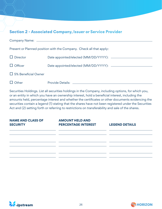# **Section 2 - Associated Company, Issuer or Service Provider**

|                            | Present or Planned position with the Company. Check all that apply: |
|----------------------------|---------------------------------------------------------------------|
| $\Box$ Director            | Date appointed/elected (MM/DD/YYYY): _________                      |
| $\Box$ Officer             |                                                                     |
| $\Box$ 5% Beneficial Owner |                                                                     |
| $\Box$ Other               |                                                                     |

Securities Holdings. List all securities holdings in the Company, including options, for which you, or an entity in which you have an ownership interest, hold a beneficial interest, including the amounts held, percentage interest and whether the certificates or other documents evidencing the securities contain a legend (1) stating that the shares have not been registered under the Securities Act and (2) setting forth or referring to restrictions on transferability and sale of the shares.

| <b>NAME AND CLASS OF</b> | <b>AMOUNT HELD AND</b>                                                                                               |                                                                                                                       |
|--------------------------|----------------------------------------------------------------------------------------------------------------------|-----------------------------------------------------------------------------------------------------------------------|
| <b>SECURITY</b>          | <b>PERCENTAGE INTEREST</b>                                                                                           | <b>LEGEND DETAILS</b>                                                                                                 |
|                          |                                                                                                                      | <u> 1989 - Andrea Santa Alemania, amerikana amerikana amerikana amerikana amerikana amerikana amerikana amerikana</u> |
|                          | <u> 1989 - Andrea San Andrea San Andrea San Andrea San Andrea San Andrea San Andrea San Andrea San Andrea San An</u> |                                                                                                                       |
|                          |                                                                                                                      |                                                                                                                       |
|                          |                                                                                                                      |                                                                                                                       |
|                          |                                                                                                                      |                                                                                                                       |
|                          |                                                                                                                      |                                                                                                                       |
|                          |                                                                                                                      |                                                                                                                       |



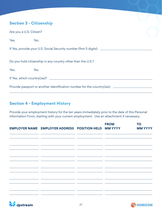# **Section 3 - Citizenship**

| Are you a U.S. Citizen? |                                                                                  |  |
|-------------------------|----------------------------------------------------------------------------------|--|
| Yes.                    | No.                                                                              |  |
|                         | If Yes, provide your U.S. Social Security number (first 5 digits): _____________ |  |
|                         | Do you hold citizenship in any country other than the U.S.?                      |  |
| Yes.                    | No.                                                                              |  |
|                         |                                                                                  |  |
|                         | Provide passport or another identification number for the country(ies): ______   |  |
|                         |                                                                                  |  |

# **Section 4 - Employment History**

Provide your employment history for the ten years immediately prior to the date of this Personal Information Form, starting with your current employment. Use an attachment if necessary.

|                                                 | <b>EMPLOYER NAME EMPLOYER ADDRESS POSITION HELD MM YYYY</b>               |                                                                                                                               | <b>FROM</b> | <b>TO</b><br><b>MM YYYY</b> |
|-------------------------------------------------|---------------------------------------------------------------------------|-------------------------------------------------------------------------------------------------------------------------------|-------------|-----------------------------|
|                                                 | <u> 1990 - Jan James James Sandarík (f. 1980)</u>                         | <u> 1989 - John Harry Barn, mars and de la partie de la partie de la partie de la partie de la partie de la partie</u>        |             |                             |
| <u> 1999 - Johann Barnett, fransk politik (</u> | <u> 1989 - Johann Barn, fransk politik (d. 1989)</u>                      | <u> 1989 - Johann John Stone, mars et al. 1989 - John Stone, mars et al. 1989 - John Stone, mars et al. 1989 - John Stone</u> |             |                             |
|                                                 | the control of the control of the control of                              |                                                                                                                               |             |                             |
|                                                 | <u> 1989 - Jan James James Sandarík (* 1908)</u>                          |                                                                                                                               |             |                             |
|                                                 | <u> 1999 - Jan James Alexandro III, president eta politiko (h. 1905).</u> |                                                                                                                               |             |                             |
|                                                 |                                                                           |                                                                                                                               |             |                             |
| للمستحدث المستنبذ                               |                                                                           |                                                                                                                               |             |                             |
| <u> The Common State Common State Common</u>    | <u> 1989 - Johann Barnett, fransk politiker (</u>                         |                                                                                                                               | ___         |                             |



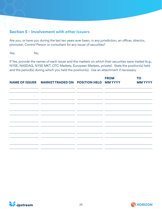# **Section 5 - Involvement with other Issuers**

Are you, or have you during the last ten years ever been, in any jurisdiction, an officer, director, promoter, Control Person or consultant for any issuer of securities?

Yes. No.

If Yes, provide the names of each issuer and the markets on which their securities were traded (e.g., NYSE, NASDAQ, NYSE MKT, OTC Markets, European Markets, private). State the position(s) held and the period(s) during which you held the position(s). Use an attachment if necessary.

|                                                                                                                                                                                                                                      | NAME OF ISSUER MARKET TRADED ON POSITION HELD MM YYYY                                                                                                                                                                                           |                                                                                                                             | <b>FROM</b> | <b>TO</b><br><b>MM YYYY</b> |
|--------------------------------------------------------------------------------------------------------------------------------------------------------------------------------------------------------------------------------------|-------------------------------------------------------------------------------------------------------------------------------------------------------------------------------------------------------------------------------------------------|-----------------------------------------------------------------------------------------------------------------------------|-------------|-----------------------------|
|                                                                                                                                                                                                                                      | <u> 1990 - Andrea Andrea Andrea Andrea Andrea Andrea Andrea Andrea Andrea Andrea Andrea Andrea Andrea Andrea Andr</u><br><u> 1990 - Andrea Andrea Andrea Andrea Andrea Andrea Andrea Andrea Andrea Andrea Andrea Andrea Andrea Andrea Andr</u>  |                                                                                                                             |             |                             |
| <u> The Common State Common State Common State Common State Common State Common State Common State Common State Common State Common State Common State Common State Common State Common State Common State Common State Common S</u> | <u> 2000 - 2001 - 2001 - 2002 - 2003 - 2004 - 2005 - 2008 - 2009 - 2009 - 2009 - 2009 - 2009 - 2009 - 2009 - 200</u><br>the contract of the contract of the contract of the contract of the contract of                                         | <u> De Carlos de Carlos de Carlos de Carlos de Carlos de Carlos de Carlos de Carlos de Carlos de Carlos de Carlos de Ca</u> |             |                             |
|                                                                                                                                                                                                                                      | <u> 1999 - Jan James Alexandro III, presidente de la contrada de la contrada de la contrada de la contrada de la</u>                                                                                                                            |                                                                                                                             |             |                             |
|                                                                                                                                                                                                                                      | <u> 1989 - Johann John Stone, markin sanadi shirta mashrida na shekara ta 1989 - An tsa na shekara ta 1989 - An tsa</u><br><u> 1999 - Jan James Alexandro III, poeta estado en la contrador de la contrador de la contrador de la contrador</u> |                                                                                                                             |             |                             |
|                                                                                                                                                                                                                                      | the control of the control of the control of                                                                                                                                                                                                    |                                                                                                                             |             |                             |
| <u> 1989 - Johann Marie Barn, mars eta industrial eta industrial eta industrial eta industrial eta industrial e</u>                                                                                                                  |                                                                                                                                                                                                                                                 | <u> 1989 - Johann Harrison, fransk politik (d. 1989)</u>                                                                    |             |                             |
|                                                                                                                                                                                                                                      | <u> 1989 - John Harry Barn, mars and de la partie de la partie de la partie de la partie de la partie de la partie</u>                                                                                                                          |                                                                                                                             | __          |                             |



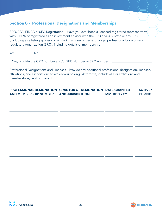# **Section 6 - Professional Designations and Memberships**

SRO, FSA, FINRA or SEC Registration – Have you ever been a licensed registered representative with FINRA or registered as an investment advisor with the SEC or a U.S. state or any SRO (including as a listing sponsor or similar) in any securities exchange, professional body or selfregulatory organization (SRO), including details of membership

Yes. No.

If Yes, provide the CRD number and/or SEC Number or SRO number:

Professional Designations and Licenses - Provide any additional professional designation, licenses, affiliations, and associations to which you belong. Attorneys, include all Bar affiliations and memberships, past or present.

| PROFESSIONAL DESIGNATION GRANTOR OF DESIGNATION DATE GRANTED<br><b>AND MEMBERSHIP NUMBER</b>                          | <b>AND JURISDICTION</b>                                                                                | <b>MM DD YYYY</b> | <b>ACTIVE?</b><br><b>YES/NO</b>                                                                                       |
|-----------------------------------------------------------------------------------------------------------------------|--------------------------------------------------------------------------------------------------------|-------------------|-----------------------------------------------------------------------------------------------------------------------|
|                                                                                                                       | the contract of the contract of the contract of the contract of<br>the contract of the contract of the |                   | <u> 1989 - John Stone, Amerikan bisa perang pada pada sebagai pada sebagai pada sebagai pada sebagai pada sebagai</u> |
|                                                                                                                       |                                                                                                        |                   |                                                                                                                       |
|                                                                                                                       |                                                                                                        |                   |                                                                                                                       |
| <u> 1989 - Johann Harry Barn, mars and de la partie de la partie de la partie de la partie de la partie de la par</u> |                                                                                                        |                   |                                                                                                                       |
|                                                                                                                       |                                                                                                        |                   |                                                                                                                       |
|                                                                                                                       |                                                                                                        |                   |                                                                                                                       |



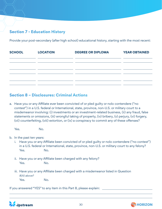# **Section 7 - Education History**

Provide your post-secondary (after high school) educational history, starting with the most recent:

| <b>SCHOOL</b> | <b>LOCATION</b>                                                                 | <b>DEGREE OR DIPLOMA</b> | <b>YEAR OBTAINED</b> |
|---------------|---------------------------------------------------------------------------------|--------------------------|----------------------|
|               |                                                                                 |                          |                      |
|               | the contract of the contract of the contract of the contract of the contract of |                          |                      |
|               |                                                                                 |                          |                      |
|               |                                                                                 |                          |                      |

# **Section 8 – Disclosures: Criminal Actions**

a. Have you or any Affiliate ever been convicted of or pled guilty or nolo contendere ("no contest") in a U.S. federal or International, state, province, non-U.S. or military court to a misdemeanor involving: (i) investments or an investment-related business, (ii) any fraud, false statements or omissions, (iii) wrongful taking of property, (iv) bribery, (v) perjury, (vi) forgery, (vii) counterfeiting, (viii) extortion, or (ix) a conspiracy to commit any of these offenses?

Yes. No.

b. In the past ten years:

- i. Have you or any Affiliate been convicted of or pled guilty or nolo contendere ("no contest") in a U.S. federal or International, state, province, non-U.S. or military court to any felony? Yes. No.
- ii. Have you or any Affiliate been charged with any felony? Yes. No.
- iii. Have you or any Affiliate been charged with a misdemeanor listed in Question 8(A) above? Yes. No.

If you answered "YES" to any item in this Part 8, please explain:



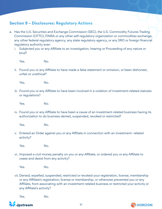# **Section 9 – Disclosures: Regulatory Actions**

- a. Has the U.S. Securities and Exchange Commission (SEC), the U.S. Commodity Futures Trading Commission (CFTC), FINRA or any other self-regulatory organization or commodities exchange, any other federal regulatory agency, any state regulatory agency, or any SRO or foreign financial regulatory authority ever:
	- i. Subjected you or any Affiliate to an investigation, hearing or Proceeding of any nature or kind?

Yes. No.

ii. Found you or any Affiliate to have made a false statement or omission, or been dishonest, unfair or unethical?

Yes. No.

iii. Found you or any Affiliate to have been involved in a violation of investment-related statutes or regulations?

Yes. No.

iv. Found you or any Affiliate to have been a cause of an investment-related business having its authorization to do business denied, suspended, revoked or restricted?

Yes. No.

v. Entered an Order against you or any Affiliate in connection with an investment- related activity?

Yes. No.

vi. Imposed a civil money penalty on you or any Affiliate, or ordered you or any Affiliate to cease and desist from any activity?

Yes. No.

vii. Denied, expelled, suspended, restricted or revoked your registration, license, membership or any Affiliate's registration, license or membership, or otherwise prevented you or any Affiliate, from associating with an investment-related business or restricted your activity or any Affiliate's activity?

Yes. No.



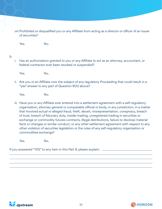viii.Prohibited or disqualified you or any Affiliate from acting as a director or officer of an issuer of securities?

Yes. No.

#### b.

i. Has an authorization granted to you or any Affiliate to act as an attorney, accountant, or federal contractor ever been revoked or suspended?

Yes. No.

ii. Are you or an Affiliate now the subject of any regulatory Proceeding that could result in a "yes" answer to any part of Question 9(A) above?

Yes. No.

iii. Have you or any Affiliate ever entered into a settlement agreement with a self-regulatory organization, attorney general or comparable official or body, in any jurisdiction, in a matter that Involved actual or alleged fraud, theft, deceit, misrepresentation, conspiracy, breach of trust, breach of fiduciary duty, insider trading, unregistered trading in securities or exchange or commodity futures contracts, illegal distributions, failure to disclose material facts or changes or similar conduct, or any other settlement agreement with respect to any other violation of securities legislation or the rules of any self-regulatory organization or commodities exchange?

Yes. No.

If you answered "YES" to any item in this Part 9, please explain:



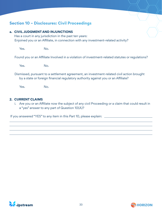# **Section 10 – Disclosures: Civil Proceedings**

#### **a. CIVIL JUDGMENT AND INJUNCTIONS**

Has a court in any jurisdiction in the past ten years: Enjoined you or an Affiliate, in connection with any investment-related activity?

Yes. No.

Found you or an Affiliate Involved in a violation of investment-related statutes or regulations?

Yes. No.

Dismissed, pursuant to a settlement agreement, an investment-related civil action brought by a state or foreign financial regulatory authority against you or an Affiliate?

Yes. No.

#### **2. CURRENT CLAIMS**

i. Are you or an Affiliate now the subject of any civil Proceeding or a claim that could result in a "yes" answer to any part of Question 10(A)?

If you answered "YES" to any item in this Part 10, please explain:



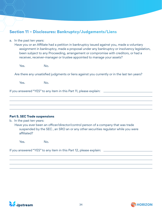# **Section 11 – Disclosures: Bankruptcy/Judgements/Liens**

a. In the past ten years:

Have you or an Affiliate had a petition in bankruptcy issued against you, made a voluntary assignment in bankruptcy, made a proposal under any bankruptcy or insolvency legislation, been subject to any Proceeding, arrangement or compromise with creditors, or had a receiver, receiver-manager or trustee appointed to manage your assets?

Yes. No.

Are there any unsatisfied judgments or liens against you currently or in the last ten years?

Yes. No.

If you answered "YES" to any item in this Part 11, please explain:

#### **Part 5. SEC Trade suspensions**

b. In the past ten years:

Have you ever been an officer/director/control person of a company that was trade suspended by the SEC , an SRO an or any other securities regulator while you were affiliated?

Yes. No.

If you answered "YES" to any item in this Part 12, please explain:



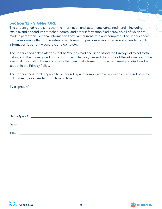# **Section 12 - SIGNATURE**

The undersigned represents that the information and statements contained herein, including exhibits and addendums attached hereto, and other information filed herewith, all of which are made a part of this Personal Information Form, are current, true and complete. The undersigned further represents that to the extent any information previously submitted is not amended, such information is currently accurate and complete.

The undersigned acknowledges that he/she has read and understood the Privacy Policy set forth below, and the undersigned consents to the collection, use and disclosure of the information in this Personal Information Form and any further personal information collected, used and disclosed as set out in the Privacy Policy.

The undersigned hereby agrees to be bound by and comply with all applicable rules and policies of Upstream, as amended from time to time.

By (signature):

| Title: |  |  |
|--------|--|--|
|        |  |  |



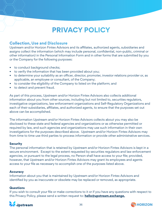# **PRIVACY POLICY**

# **Collection, Use and Disclosure**

Upstream and/or Horizon Fintex Advisors and its affiliates, authorized agents, subsidiaries and assigns collect the information (which may include personal, confidential, non-public, criminal or other information) in the Personal Information Form and in other forms that are submitted by you or the Company for the following purposes:

- to conduct background checks;
- to verify the information that has been provided about you;
- to determine your suitability as an officer, director, promoter, investor relations provider or, as applicable, an employee or consultant, of the Company;
- to consider the eligibility of the Company to listed on the platform; and
- to detect and prevent fraud.

As part of this process, Upstream and/or Horizon Fintex Advisors also collects additional information about you from other sources, including but not limited to, securities regulators, investigative organizations, law enforcement organizations and Self-Regulatory Organizations and each of their subsidiaries, affiliates, and authorized agents, to ensure that the purposes set out above can be accomplished.

The information Upstream and/or Horizon Fintex Advisors collects about you may also be disclosed to these state and federal agencies and organizations or as otherwise permitted or required by law, and such agencies and organizations may use such information in their own investigations for the purposes described above. Upstream and/or Horizon Fintex Advisors may from time to time use third parties to process information or provide other administrative services.

#### **Security**

The personal information that is retained by Upstream and/or Horizon Fintex Advisors is kept in a secure environment. Except to the extent requested by securities regulators and law enforcement agencies, or pursuant to the legal process, no Person shall have access to your file; provided, however, that Upstream and/or Horizon Fintex Advisors may grant its employees and agents access to your file as necessary to accomplish one of the purposes listed above.

#### **Accuracy**

Information about you that is maintained by Upstream and/or Horizon Fintex Advisors and identified by you as inaccurate or obsolete may be replaced or removed, as appropriate.

#### **Questions**

If you wish to consult your file or make corrections to it or if you have any questions with respect to this Privacy Policy, please send a written request to: **hello@upstream.exchange.**



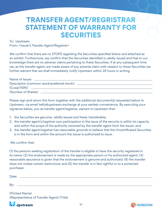# **TRANSFER AGENT/REGRISTRAR STATEMENT OF WARRANTY FOR SECURITIES**

To: Upstream

From: <Issuer's Transfer Agent/Registrar>

We confirm that there are no STOPS regarding the Securities specified below and attached as an exhibit. Furthermore, we confirm that the Securities identified is validly issued and that to our knowledge there are no adverse claims pertaining to these Securities. If at any subsequent time we, as the transfer agent, are made aware of any adverse claim with respect to these Securities we further warrant that we shall immediately notify Upstream within 24 hours in writing.

| Name of Issuer: ___________                 |  |
|---------------------------------------------|--|
| Description (common stock/preferred stock): |  |
|                                             |  |
| (Number of Shares): ________                |  |

Please sign and return this form together with the additional document(s) requested below to Upstream, via email hello@upstream.exchange at your earliest convenience. By executing your signature below, you as transfer agent/registrar, warrant to Upstream that:

- 1. the Securities are genuine, validly issued and freely transferable;
- 2. the transfer agent's/registrar own participation in the issue of the security is within its capacity and within the scope of the authority received by the transfer agent from the issuer; and
- 3. the transfer agent/registrar has reasonable grounds to believe that the Uncertificated Securities is in the form and within the amount the issuer is authorized to issue.

#### We confirm that:

(1) the persons seeking registration of the transfer is eligible to have the security registered in its name; (2) the endorsement is made by the appropriate person or his authorized agent; (3) reasonable assurance is given that the endorsement is genuine and authorized; (4) the transfer does not violate certain restrictions; and (5) the transfer is in fact rightful or to a protected purchaser.

| Date: |  |
|-------|--|
|       |  |
| By    |  |

(Printed Name) (Representative of Transfer Agent) (Title)



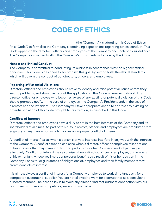# **CODE OF ETHICS**

 (the "Company") is adopting this Code of Ethics (this "Code") to formalize the Company's continuing expectations regarding ethical conduct. This Code applies to the directors, officers and employees of the Company and each of its subsidiaries. The Company also expects all of the Company's consultants will abide by this Code.

#### **Honest and Ethical Conduct**

The Company is committed to conducting its business in accordance with the highest ethical principles. This Code is designed to accomplish this goal by setting forth the ethical standards which will govern the conduct of our directors, officers, and employees.

#### **Reporting of Potential Violations**

Directors, officers and employees should strive to identify and raise potential issues before they lead to problems, and should ask about the application of this Code whenever in doubt. Any director, officer or employee who becomes aware of any existing or potential violation of this Code should promptly notify, in the case of employees, the Company's President and, in the case of directors and the President. The Company will take appropriate action to address any existing or potential violation of this Code brought to its attention, as described in this Code.

#### **Conflicts of Interest**

Directors, officers and employees have a duty to act in the best interests of the Company and its shareholders at all times. As part of this duty, directors, officers and employees are prohibited from engaging in any transaction which involves an improper conflict of interest.

A "conflict of interest" exists when a person's private interests interfere in any way with the interests of the Company. A conflict situation can arise when a director, officer or employee takes actions or has interests that may make it difficult to perform his or her Company work objectively and effectively. Conflicts of interest may also arise when a director, officer or employee, or members of his or her family, receives improper personal benefits as a result of his or her position in the Company. Loans to, or guarantees of obligations of, employees and their family members may create conflicts of interest.

It is almost always a conflict of interest for a Company employee to work simultaneously for a competitor, customer or supplier. You are not allowed to work for a competitor as a consultant or board member. The best policy is to avoid any direct or indirect business connection with our customers, suppliers or competitors, except on our behalf.



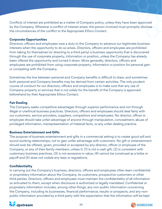Conflicts of interest are prohibited as a matter of Company policy, unless they have been approved by the Company. Wherever a conflict of interest arises, the person involved must promptly disclose the circumstances of the conflict to the Appropriate Ethics Contact.

#### **Corporate Opportunities**

Directors, officers and employees owe a duty to the Company to advance our legitimate business interests when the opportunity to do so arises. Directors, officers and employees are prohibited from taking for themselves (or directing to a third party) a business opportunity that is discovered through the use of corporate property, information or position, unless the Company has already been offered the opportunity and turned it down. More generally, directors, officers and employees are prohibited from using corporate property, information or position for personal gain or competing with the Company.

Sometimes the line between personal and Company benefits is difficult to draw, and sometimes both personal and Company benefits may be derived from certain activities. The only prudent course of conduct for our directors, officers and employees is to make sure that any use of Company property or services that is not solely for the benefit of the Company is approved beforehand by their Appropriate Ethics Contact.

#### **Fair Dealing**

The Company seeks competitive advantages through superior performance and not through illegal or unethical business practices. Directors, officers and employees should deal fairly with our customers, service providers, suppliers, competitors and employees. No director, officer or employee should take unfair advantage of anyone through manipulation, concealment, abuse of privileged information, misrepresentation of material facts, or any unfair dealing practice.

#### **Business Entertainment and Gifts**

The purpose of business entertainment and gifts in a commercial setting is to create good will and sound working relationships, not to gain unfair advantage with customers. No gift or entertainment should ever be offered, given, provided or accepted by any director, officer or employee of the Company, or any of their family members, unless it: (1) is not a cash gift, (2) is consistent with customary business practices, (3) is not excessive in value, (4) cannot be construed as a bribe or payoff and (5) does not violate any laws or regulations.

#### **Confidentiality**

In carrying out the Company's business, directors, officers and employees often learn confidential or proprietary information about the Company, its customers, prospective customers or other third parties. Directors, officers and employees must maintain the confidentiality of all information so entrusted to them, except when disclosure is authorized or legally mandated. Confidential or proprietary information includes, among other things, any non-public information concerning the Company, including its businesses, financial performance, results or prospects, and any nonpublic information provided by a third party with the expectation that the information will be kept



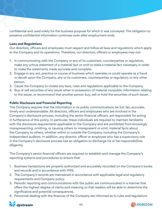confidential and used solely for the business purpose for which it was conveyed. The obligation to preserve confidential information continues even after employment ends.

#### **Laws and Regulations**

Our directors, officers and employees must respect and follow all laws and regulations which apply to the Company and its operations. Therefore, our directors, officers or employees may not:

- 1. In communicating with the Company or any of its customers, counterparties or regulators, make any untrue statement of a material fact or omit to state a material fact necessary in order to make the statements made accurate and complete.
- 2. Engage in any act, practice or course of business which operates or could operate as a fraud or deceit upon the Company, any or its customers, counterparties or regulators, or any other person.
- 3. Cause the Company to violate any laws, rules and regulations applicable to the Company.
- 4. Buy or sell securities of any issuer when in possession of material nonpublic information relating to the issuer, or recommend that another person buy, sell or hold the securities of such issuer.

#### **Public Disclosure and Financial Reporting**

The Company requires that the information in its public communications be full, fair, accurate, timely and understandable. All directors, officers and employees who are involved in the Company's disclosure process, including the senior financial officers, are responsible for acting in furtherance of this policy. In particular, these individuals are required to maintain familiarity with the disclosure requirements applicable to the Company and are prohibited from knowingly misrepresenting, omitting, or causing others to misrepresent or omit, material facts about the Company to others, whether within or outside the Company, including the Company's independent auditors. In addition, any director, officer or employee who has a supervisory role in the Company's disclosure process has an obligation to discharge his or her responsibilities diligently.

The Company's senior financial officers are required to establish and manage the Company's reporting systems and procedures to ensure that:

- 1. Business transactions are properly authorized and accurately recorded on the Company's books and records and in accordance with IFRS.
- 2. The Company's records are maintained in accordance with applicable legal and regulatory requirements and Company policy.
- 3. Periodic reporting and communications with the public are communicated in a manner that offers the highest degree of clarity and meaning so that readers will be able to determine the significance and potential consequences.
- 4. Personnel dealing with the finances of the Company are informed as to rules and regulations



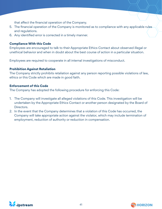that affect the financial operation of the Company.

- 5. The financial operation of the Company is monitored as to compliance with any applicable rules and regulations.
- 6. Any identified error is corrected in a timely manner.

#### **Compliance With this Code**

Employees are encouraged to talk to their Appropriate Ethics Contact about observed illegal or unethical behavior and when in doubt about the best course of action in a particular situation.

Employees are required to cooperate in all internal investigations of misconduct.

#### **Prohibition Against Retaliation**

The Company strictly prohibits retaliation against any person reporting possible violations of law, ethics or this Code which are made in good faith.

#### **Enforcement of this Code**

The Company has adopted the following procedure for enforcing this Code:

- 1. The Company will investigate all alleged violations of this Code. This investigation will be undertaken by the Appropriate Ethics Contact or another person designated by the Board of Directors.
- 2. In the event that the Company determines that a violation of this Code has occurred, the Company will take appropriate action against the violator, which may include termination of employment, reduction of authority or reduction in compensation.



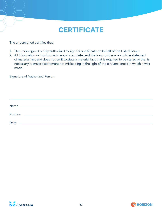# **CERTIFICATE**

The undersigned certifies that:

- 1. The undersigned is duly authorized to sign this certificate on behalf of the Listed Issuer:
- 2. All information in this form is true and complete, and the form contains no untrue statement of material fact and does not omit to state a material fact that is required to be stated or that is necessary to make a statement not misleading in the light of the circumstances in which it was made.

Signature of Authorized Person

| Name | <u> 1989 - Johann Stein, mars an de Francisco Communication (f. 1989)</u> |  |  |
|------|---------------------------------------------------------------------------|--|--|
|      |                                                                           |  |  |
|      |                                                                           |  |  |
| Date |                                                                           |  |  |



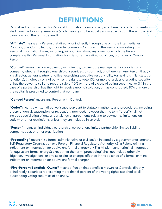# **DEFINITIONS**

Capitalized terms used in this Personal Information Form and any attachments or exhibits hereto shall have the following meanings (such meanings to be equally applicable to both the singular and plural forms of the terms defined):

**"Affiliate"** means any Person that directly, or indirectly through one or more intermediaries, Controls, or is Controlled by, or is under common Control with, the Person completing this Personal Information Form, including, without limitation, any issuer for which the Person completing this Personal Information Form is currently a director, officer, promoter or Control Person.

**"Control"** means the power, directly or indirectly, to direct the management or policies of a company, whether through ownership of securities, by contract, or otherwise. Any Person that (i) is a director, general partner or officer exercising executive responsibility (or having similar status or functions); (ii) directly or indirectly has the right to vote 10% or more of a class of a voting security or has the power to sell or direct the sale of 10% or more of a class of voting securities; or (iii) in the case of a partnership, has the right to receive upon dissolution, or has contributed, 10% or more of the capital, is presumed to control that company.

**"Control Person"** means any Person with Control.

**"Order"** means a written directive issued pursuant to statutory authority and procedures, including orders of denial, suspension, or revocation; provided, however that the term "order" shall not include special stipulations, undertakings or agreements relating to payments, limitations on activity or other restrictions, unless they are included in an order.

**"Person"** means an individual, partnership, corporation, limited partnership, limited liability company, trust, or other organization.

**"Proceeding"** means (1) a formal administrative or civil action initiated by a governmental agency, Self-Regulatory Organization or a Foreign Financial Regulatory Authority, (2) a Felony criminal indictment or information (or equivalent formal charge) or (3) a Misdemeanor criminal information (or equivalent formal charge); except that the term "proceeding" shall not include other civil litigation, investigations, or arrests or similar charges effected in the absence of a formal criminal indictment or information (or equivalent formal charge).

**"Five-Percent Beneficial Owner"** means a Person that beneficially owns or Controls, directly or indirectly, securities representing more than 5 percent of the voting rights attached to all outstanding voting securities of an entity.